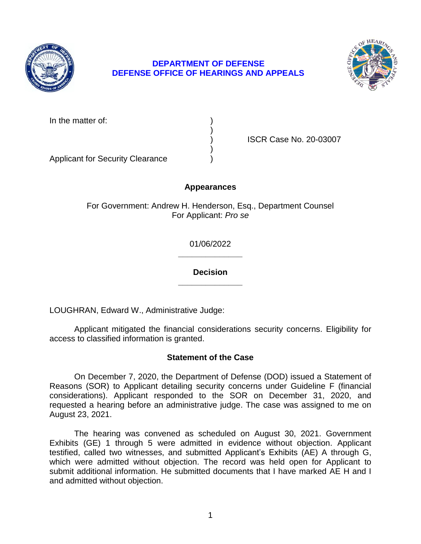

# **DEPARTMENT OF DEFENSE DEFENSE OFFICE OF HEARINGS AND APPEALS**



In the matter of:

) ISCR Case No. 20-03007

Applicant for Security Clearance )

# **Appearances**

)

)

For Government: Andrew H. Henderson, Esq., Department Counsel For Applicant: *Pro se* 

> **\_\_\_\_\_\_\_\_\_\_\_\_\_\_**  01/06/2022

> **\_\_\_\_\_\_\_\_\_\_\_\_\_\_ Decision**

LOUGHRAN, Edward W., Administrative Judge:

 Applicant mitigated the financial considerations security concerns. Eligibility for access to classified information is granted.

## **Statement of the Case**

 On December 7, 2020, the Department of Defense (DOD) issued a Statement of considerations). Applicant responded to the SOR on December 31, 2020, and requested a hearing before an administrative judge. The case was assigned to me on Reasons (SOR) to Applicant detailing security concerns under Guideline F (financial August 23, 2021.

 Exhibits (GE) 1 through 5 were admitted in evidence without objection. Applicant testified, called two witnesses, and submitted Applicant's Exhibits (AE) A through G, which were admitted without objection. The record was held open for Applicant to submit additional information. He submitted documents that I have marked AE H and I The hearing was convened as scheduled on August 30, 2021. Government and admitted without objection.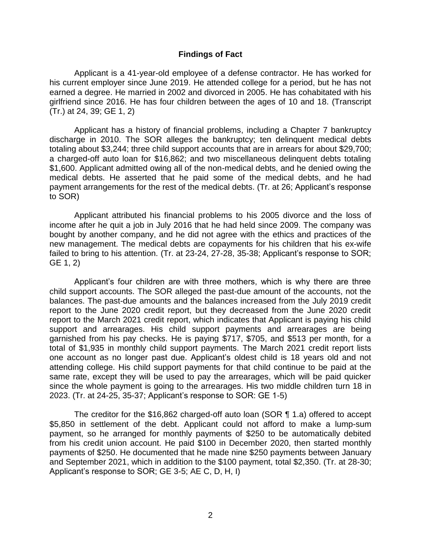#### **Findings of Fact**

 Applicant is a 41-year-old employee of a defense contractor. He has worked for his current employer since June 2019. He attended college for a period, but he has not earned a degree. He married in 2002 and divorced in 2005. He has cohabitated with his girlfriend since 2016. He has four children between the ages of 10 and 18. (Transcript (Tr.) at 24, 39; GE 1, 2)

 Applicant has a history of financial problems, including a Chapter 7 bankruptcy discharge in 2010. The SOR alleges the bankruptcy; ten delinquent medical debts a charged-off auto loan for \$16,862; and two miscellaneous delinquent debts totaling \$1,600. Applicant admitted owing all of the non-medical debts, and he denied owing the medical debts. He asserted that he paid some of the medical debts, and he had totaling about \$3,244; three child support accounts that are in arrears for about \$29,700; payment arrangements for the rest of the medical debts. (Tr. at 26; Applicant's response to SOR)

 Applicant attributed his financial problems to his 2005 divorce and the loss of income after he quit a job in July 2016 that he had held since 2009. The company was bought by another company, and he did not agree with the ethics and practices of the failed to bring to his attention. (Tr. at 23-24, 27-28, 35-38; Applicant's response to SOR; new management. The medical debts are copayments for his children that his ex-wife GE 1, 2)

 Applicant's four children are with three mothers, which is why there are three child support accounts. The SOR alleged the past-due amount of the accounts, not the balances. The past-due amounts and the balances increased from the July 2019 credit report to the June 2020 credit report, but they decreased from the June 2020 credit report to the March 2021 credit report, which indicates that Applicant is paying his child garnished from his pay checks. He is paying \$717, \$705, and \$513 per month, for a total of \$1,935 in monthly child support payments. The March 2021 credit report lists one account as no longer past due. Applicant's oldest child is 18 years old and not attending college. His child support payments for that child continue to be paid at the same rate, except they will be used to pay the arrearages, which will be paid quicker since the whole payment is going to the arrearages. His two middle children turn 18 in support and arrearages. His child support payments and arrearages are being 2023. (Tr. at 24-25, 35-37; Applicant's response to SOR: GE 1-5)

 The creditor for the \$16,862 charged-off auto loan (SOR ¶ 1.a) offered to accept \$5,850 in settlement of the debt. Applicant could not afford to make a lump-sum payment, so he arranged for monthly payments of \$250 to be automatically debited from his credit union account. He paid \$100 in December 2020, then started monthly payments of \$250. He documented that he made nine \$250 payments between January and September 2021, which in addition to the \$100 payment, total \$2,350. (Tr. at 28-30; Applicant's response to SOR; GE 3-5; AE C, D, H, I)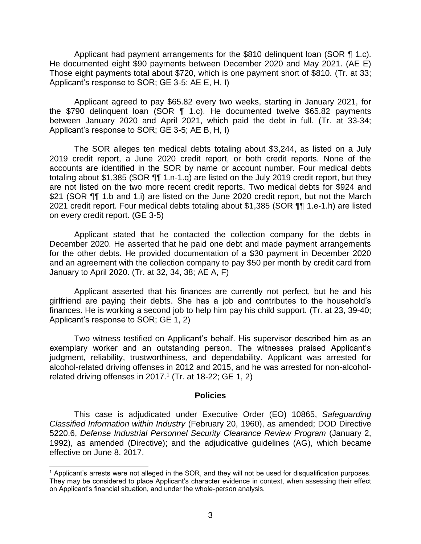Applicant had payment arrangements for the \$810 delinquent loan (SOR ¶ 1.c). He documented eight \$90 payments between December 2020 and May 2021. (AE E) Those eight payments total about \$720, which is one payment short of \$810. (Tr. at 33; Applicant's response to SOR; GE 3-5: AE E, H, I)

 Applicant agreed to pay \$65.82 every two weeks, starting in January 2021, for the \$790 delinquent loan (SOR ¶ 1.c). He documented twelve \$65.82 payments between January 2020 and April 2021, which paid the debt in full. (Tr. at 33-34; Applicant's response to SOR; GE 3-5; AE B, H, I)

 The SOR alleges ten medical debts totaling about \$3,244, as listed on a July 2019 credit report, a June 2020 credit report, or both credit reports. None of the accounts are identified in the SOR by name or account number. Four medical debts are not listed on the two more recent credit reports. Two medical debts for \$924 and \$21 (SOR ¶¶ 1.b and 1.i) are listed on the June 2020 credit report, but not the March totaling about \$1,385 (SOR ¶¶ 1.n-1.q) are listed on the July 2019 credit report, but they 2021 credit report. Four medical debts totaling about \$1,385 (SOR ¶¶ 1.e-1.h) are listed on every credit report. (GE 3-5)

 Applicant stated that he contacted the collection company for the debts in December 2020. He asserted that he paid one debt and made payment arrangements for the other debts. He provided documentation of a \$30 payment in December 2020 and an agreement with the collection company to pay \$50 per month by credit card from January to April 2020. (Tr. at 32, 34, 38; AE A, F)

 Applicant asserted that his finances are currently not perfect, but he and his girlfriend are paying their debts. She has a job and contributes to the household's finances. He is working a second job to help him pay his child support. (Tr. at 23, 39-40; Applicant's response to SOR; GE 1, 2)

 Two witness testified on Applicant's behalf. His supervisor described him as an exemplary worker and an outstanding person. The witnesses praised Applicant's judgment, reliability, trustworthiness, and dependability. Applicant was arrested for alcohol-related driving offenses in 2012 and 2015, and he was arrested for non-alcoholrelated driving offenses in 2017.<sup>1</sup> (Tr. at 18-22; GE 1, 2)

#### **Policies**

 *Classified Information within Industry* (February 20, 1960), as amended; DOD Directive 5220.6, *Defense Industrial Personnel Security Clearance Review Program* (January 2, 1992), as amended (Directive); and the adjudicative guidelines (AG), which became This case is adjudicated under Executive Order (EO) 10865, *Safeguarding*  effective on June 8, 2017.

 $\overline{a}$ 

 1 Applicant's arrests were not alleged in the SOR, and they will not be used for disqualification purposes. They may be considered to place Applicant's character evidence in context, when assessing their effect on Applicant's financial situation, and under the whole-person analysis.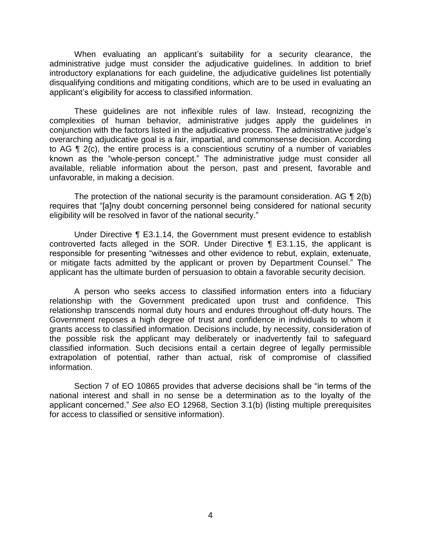When evaluating an applicant's suitability for a security clearance, the administrative judge must consider the adjudicative guidelines. In addition to brief introductory explanations for each guideline, the adjudicative guidelines list potentially disqualifying conditions and mitigating conditions, which are to be used in evaluating an applicant's eligibility for access to classified information.

 These guidelines are not inflexible rules of law. Instead, recognizing the complexities of human behavior, administrative judges apply the guidelines in conjunction with the factors listed in the adjudicative process. The administrative judge's overarching adjudicative goal is a fair, impartial, and commonsense decision. According to AG ¶ 2(c), the entire process is a conscientious scrutiny of a number of variables known as the "whole-person concept." The administrative judge must consider all available, reliable information about the person, past and present, favorable and unfavorable, in making a decision.

The protection of the national security is the paramount consideration. AG  $\P$  2(b) eligibility will be resolved in favor of the national security." requires that "[a]ny doubt concerning personnel being considered for national security

 Under Directive ¶ E3.1.14, the Government must present evidence to establish controverted facts alleged in the SOR. Under Directive ¶ E3.1.15, the applicant is responsible for presenting "witnesses and other evidence to rebut, explain, extenuate, or mitigate facts admitted by the applicant or proven by Department Counsel." The applicant has the ultimate burden of persuasion to obtain a favorable security decision.

 A person who seeks access to classified information enters into a fiduciary relationship with the Government predicated upon trust and confidence. This relationship transcends normal duty hours and endures throughout off-duty hours. The Government reposes a high degree of trust and confidence in individuals to whom it grants access to classified information. Decisions include, by necessity, consideration of the possible risk the applicant may deliberately or inadvertently fail to safeguard classified information. Such decisions entail a certain degree of legally permissible extrapolation of potential, rather than actual, risk of compromise of classified information.

 Section 7 of EO 10865 provides that adverse decisions shall be "in terms of the national interest and shall in no sense be a determination as to the loyalty of the applicant concerned." *See also* EO 12968, Section 3.1(b) (listing multiple prerequisites for access to classified or sensitive information).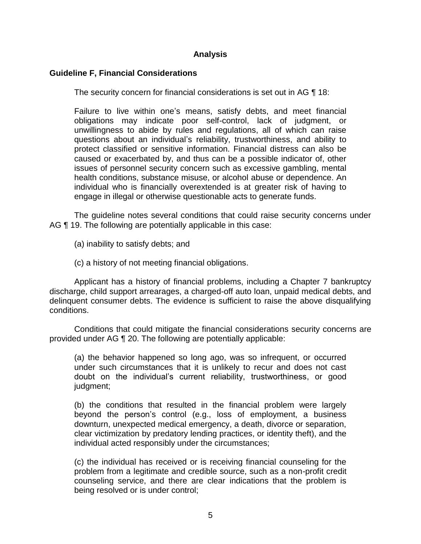## **Analysis**

## **Guideline F, Financial Considerations**

The security concern for financial considerations is set out in AG ¶ 18:

Failure to live within one's means, satisfy debts, and meet financial obligations may indicate poor self-control, lack of judgment, or unwillingness to abide by rules and regulations, all of which can raise questions about an individual's reliability, trustworthiness, and ability to protect classified or sensitive information. Financial distress can also be caused or exacerbated by, and thus can be a possible indicator of, other issues of personnel security concern such as excessive gambling, mental health conditions, substance misuse, or alcohol abuse or dependence. An individual who is financially overextended is at greater risk of having to engage in illegal or otherwise questionable acts to generate funds.

 The guideline notes several conditions that could raise security concerns under AG ¶ 19. The following are potentially applicable in this case:

(a) inability to satisfy debts; and

(c) a history of not meeting financial obligations.

 Applicant has a history of financial problems, including a Chapter 7 bankruptcy discharge, child support arrearages, a charged-off auto loan, unpaid medical debts, and delinquent consumer debts. The evidence is sufficient to raise the above disqualifying conditions.

 provided under AG ¶ 20. The following are potentially applicable: Conditions that could mitigate the financial considerations security concerns are

(a) the behavior happened so long ago, was so infrequent, or occurred under such circumstances that it is unlikely to recur and does not cast doubt on the individual's current reliability, trustworthiness, or good judgment;

(b) the conditions that resulted in the financial problem were largely beyond the person's control (e.g., loss of employment, a business downturn, unexpected medical emergency, a death, divorce or separation, clear victimization by predatory lending practices, or identity theft), and the individual acted responsibly under the circumstances;

(c) the individual has received or is receiving financial counseling for the problem from a legitimate and credible source, such as a non-profit credit counseling service, and there are clear indications that the problem is being resolved or is under control;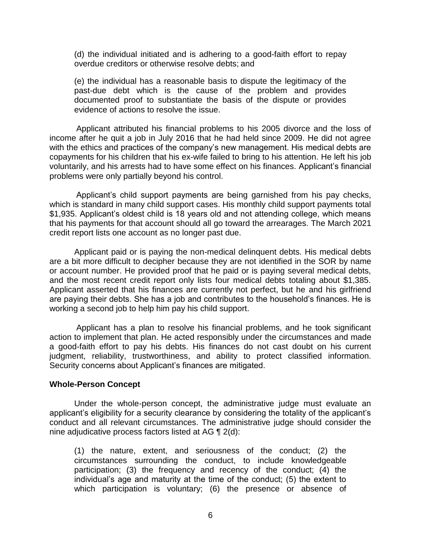(d) the individual initiated and is adhering to a good-faith effort to repay overdue creditors or otherwise resolve debts; and

 (e) the individual has a reasonable basis to dispute the legitimacy of the past-due debt which is the cause of the problem and provides documented proof to substantiate the basis of the dispute or provides evidence of actions to resolve the issue.

 Applicant attributed his financial problems to his 2005 divorce and the loss of income after he quit a job in July 2016 that he had held since 2009. He did not agree with the ethics and practices of the company's new management. His medical debts are copayments for his children that his ex-wife failed to bring to his attention. He left his job voluntarily, and his arrests had to have some effect on his finances. Applicant's financial problems were only partially beyond his control.

 Applicant's child support payments are being garnished from his pay checks, which is standard in many child support cases. His monthly child support payments total \$1,935. Applicant's oldest child is 18 years old and not attending college, which means that his payments for that account should all go toward the arrearages. The March 2021 credit report lists one account as no longer past due.

 Applicant paid or is paying the non-medical delinquent debts. His medical debts are a bit more difficult to decipher because they are not identified in the SOR by name or account number. He provided proof that he paid or is paying several medical debts, and the most recent credit report only lists four medical debts totaling about \$1,385. Applicant asserted that his finances are currently not perfect, but he and his girlfriend are paying their debts. She has a job and contributes to the household's finances. He is working a second job to help him pay his child support.

 Applicant has a plan to resolve his financial problems, and he took significant action to implement that plan. He acted responsibly under the circumstances and made a good-faith effort to pay his debts. His finances do not cast doubt on his current judgment, reliability, trustworthiness, and ability to protect classified information. Security concerns about Applicant's finances are mitigated.

#### **Whole-Person Concept**

Under the whole-person concept, the administrative judge must evaluate an applicant's eligibility for a security clearance by considering the totality of the applicant's conduct and all relevant circumstances. The administrative judge should consider the nine adjudicative process factors listed at AG ¶ 2(d):

(1) the nature, extent, and seriousness of the conduct; (2) the circumstances surrounding the conduct, to include knowledgeable participation; (3) the frequency and recency of the conduct; (4) the individual's age and maturity at the time of the conduct; (5) the extent to which participation is voluntary; (6) the presence or absence of